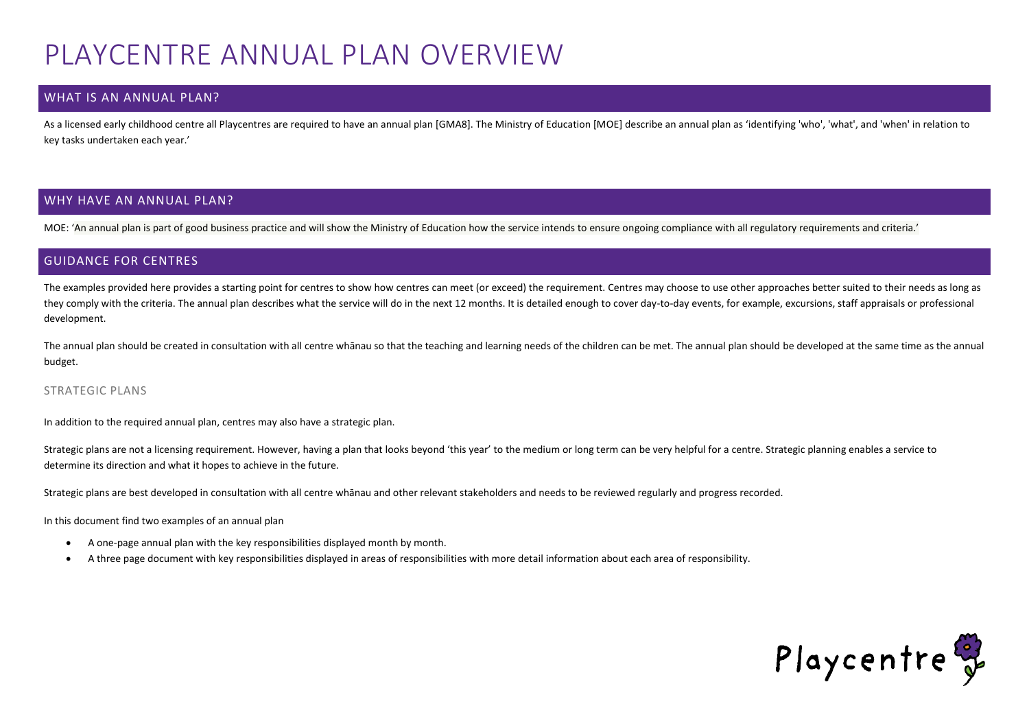## PLAYCENTRE ANNUAL PLAN OVERVIEW

## WHAT IS AN ANNUAL PLAN?

As a licensed early childhood centre all Playcentres are required to have an annual plan [GMA8]. The Ministry of Education [MOE] describe an annual plan as 'identifying 'who', 'what', and 'when' in relation to key tasks undertaken each year.'

## WHY HAVE AN ANNUAL PLAN?

MOE: 'An annual plan is part of good business practice and will show the Ministry of Education how the service intends to ensure ongoing compliance with all regulatory requirements and criteria.'

## GUIDANCE FOR CENTRES

The examples provided here provides a starting point for centres to show how centres can meet (or exceed) the requirement. Centres may choose to use other approaches better suited to their needs as long as they comply with the criteria. The annual plan describes what the service will do in the next 12 months. It is detailed enough to cover day-to-day events, for example, excursions, staff appraisals or professional development.

The annual plan should be created in consultation with all centre whanau so that the teaching and learning needs of the children can be met. The annual plan should be developed at the same time as the annual budget.

#### STRATEGIC PLANS

In addition to the required annual plan, centres may also have a strategic plan.

Strategic plans are not a licensing requirement. However, having a plan that looks beyond 'this year' to the medium or long term can be very helpful for a centre. Strategic planning enables a service to determine its direction and what it hopes to achieve in the future.

Strategic plans are best developed in consultation with all centre whānau and other relevant stakeholders and needs to be reviewed regularly and progress recorded.

In this document find two examples of an annual plan

- A one-page annual plan with the key responsibilities displayed month by month.
- A three page document with key responsibilities displayed in areas of responsibilities with more detail information about each area of responsibility.

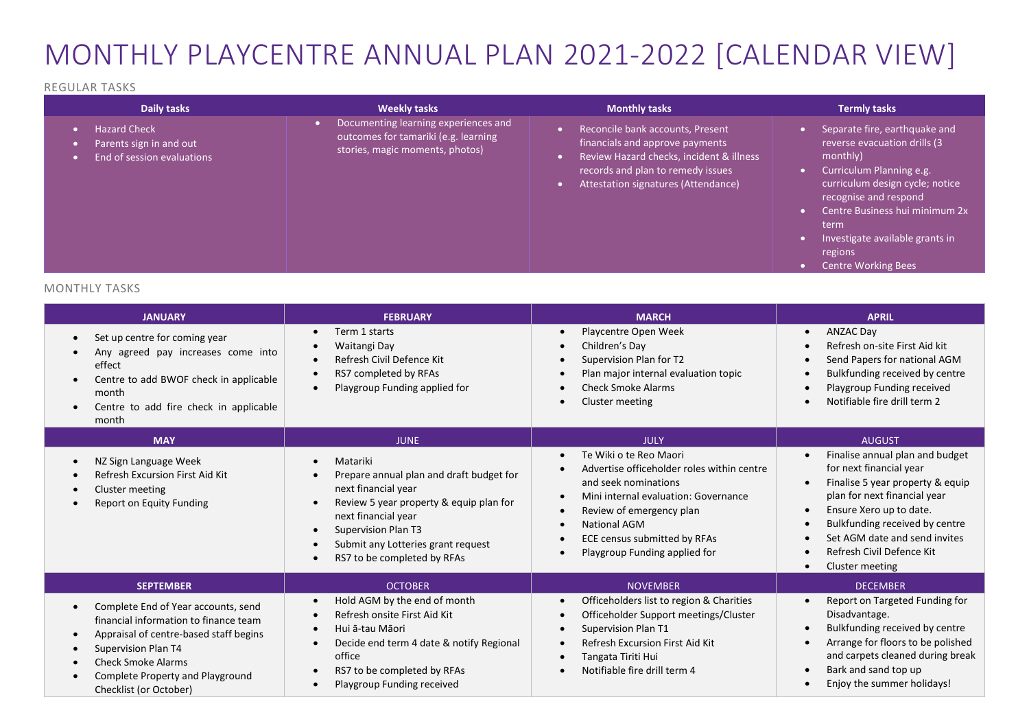# MONTHLY PLAYCENTRE ANNUAL PLAN 2021-2022 [CALENDAR VIEW]

### REGULAR TASKS

| Daily tasks                                                                  | <b>Weekly tasks</b>                                                                                             | <b>Monthly tasks</b>                                                                                                                                                                        | <b>Termly tasks</b>                                                                                                                                                                                                                                                                     |
|------------------------------------------------------------------------------|-----------------------------------------------------------------------------------------------------------------|---------------------------------------------------------------------------------------------------------------------------------------------------------------------------------------------|-----------------------------------------------------------------------------------------------------------------------------------------------------------------------------------------------------------------------------------------------------------------------------------------|
| <b>Hazard Check</b><br>Parents sign in and out<br>End of session evaluations | Documenting learning experiences and<br>outcomes for tamariki (e.g. learning<br>stories, magic moments, photos) | Reconcile bank accounts, Present<br>financials and approve payments<br>Review Hazard checks, incident & illness<br>records and plan to remedy issues<br>Attestation signatures (Attendance) | Separate fire, earthquake and<br>reverse evacuation drills (3<br>monthly)<br>Curriculum Planning e.g.<br>curriculum design cycle; notice<br>recognise and respond<br>Centre Business hui minimum 2x<br>term<br>Investigate available grants in<br>regions<br><b>Centre Working Bees</b> |

## MONTHLY TASKS

| <b>JANUARY</b>                                                                                                                                                                                                                           | <b>FEBRUARY</b>                                                                                                                                                                                                                                  | <b>MARCH</b>                                                                                                                                                                                                                                                   | <b>APRIL</b>                                                                                                                                                                                                                                                                                                                                                            |
|------------------------------------------------------------------------------------------------------------------------------------------------------------------------------------------------------------------------------------------|--------------------------------------------------------------------------------------------------------------------------------------------------------------------------------------------------------------------------------------------------|----------------------------------------------------------------------------------------------------------------------------------------------------------------------------------------------------------------------------------------------------------------|-------------------------------------------------------------------------------------------------------------------------------------------------------------------------------------------------------------------------------------------------------------------------------------------------------------------------------------------------------------------------|
| Set up centre for coming year<br>Any agreed pay increases come into<br>effect<br>Centre to add BWOF check in applicable<br>month<br>Centre to add fire check in applicable<br>$\bullet$<br>month                                         | Term 1 starts<br>Waitangi Day<br>Refresh Civil Defence Kit<br>RS7 completed by RFAs<br>Playgroup Funding applied for                                                                                                                             | Playcentre Open Week<br>$\bullet$<br>Children's Day<br>Supervision Plan for T2<br>Plan major internal evaluation topic<br><b>Check Smoke Alarms</b><br>Cluster meeting                                                                                         | <b>ANZAC Day</b><br>$\bullet$<br>Refresh on-site First Aid kit<br>$\bullet$<br>Send Papers for national AGM<br>$\bullet$<br>Bulkfunding received by centre<br>$\bullet$<br>Playgroup Funding received<br>$\bullet$<br>Notifiable fire drill term 2<br>$\bullet$                                                                                                         |
| <b>MAY</b>                                                                                                                                                                                                                               | <b>JUNE</b>                                                                                                                                                                                                                                      | <b>JULY</b>                                                                                                                                                                                                                                                    | <b>AUGUST</b>                                                                                                                                                                                                                                                                                                                                                           |
| NZ Sign Language Week<br>Refresh Excursion First Aid Kit<br>Cluster meeting<br><b>Report on Equity Funding</b>                                                                                                                           | Matariki<br>Prepare annual plan and draft budget for<br>next financial year<br>Review 5 year property & equip plan for<br>next financial year<br><b>Supervision Plan T3</b><br>Submit any Lotteries grant request<br>RS7 to be completed by RFAs | Te Wiki o te Reo Maori<br>$\bullet$<br>Advertise officeholder roles within centre<br>and seek nominations<br>Mini internal evaluation: Governance<br>Review of emergency plan<br>National AGM<br>ECE census submitted by RFAs<br>Playgroup Funding applied for | Finalise annual plan and budget<br>$\bullet$<br>for next financial year<br>Finalise 5 year property & equip<br>$\bullet$<br>plan for next financial year<br>Ensure Xero up to date.<br>$\bullet$<br>Bulkfunding received by centre<br>$\bullet$<br>Set AGM date and send invites<br>$\bullet$<br>Refresh Civil Defence Kit<br>$\bullet$<br>Cluster meeting<br>$\bullet$ |
| <b>SEPTEMBER</b>                                                                                                                                                                                                                         | <b>OCTOBER</b>                                                                                                                                                                                                                                   | <b>NOVEMBER</b>                                                                                                                                                                                                                                                | <b>DECEMBER</b>                                                                                                                                                                                                                                                                                                                                                         |
| Complete End of Year accounts, send<br>financial information to finance team<br>Appraisal of centre-based staff begins<br>Supervision Plan T4<br><b>Check Smoke Alarms</b><br>Complete Property and Playground<br>Checklist (or October) | Hold AGM by the end of month<br>Refresh onsite First Aid Kit<br>Hui ā-tau Māori<br>Decide end term 4 date & notify Regional<br>office<br>RS7 to be completed by RFAs<br>Playgroup Funding received                                               | Officeholders list to region & Charities<br>Officeholder Support meetings/Cluster<br>Supervision Plan T1<br>Refresh Excursion First Aid Kit<br>Tangata Tiriti Hui<br>Notifiable fire drill term 4                                                              | Report on Targeted Funding for<br>$\bullet$<br>Disadvantage.<br>Bulkfunding received by centre<br>$\bullet$<br>Arrange for floors to be polished<br>$\bullet$<br>and carpets cleaned during break<br>Bark and sand top up<br>$\bullet$<br>Enjoy the summer holidays!                                                                                                    |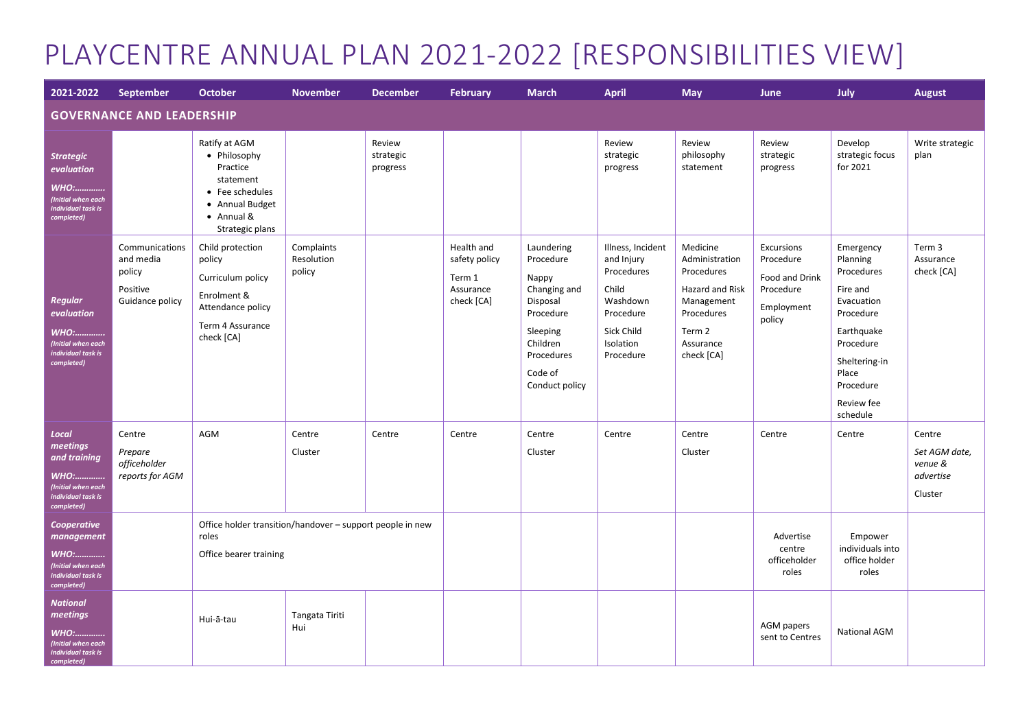# PLAYCENTRE ANNUAL PLAN 2021-2022 [RESPONSIBILITIES VIEW]

| 2021-2022                                                                                                  | September                                                            | <b>October</b>                                                                                                                | <b>November</b>                    | <b>December</b>                 | <b>February</b>                                                  | <b>March</b>                                                                                                                                 | April                                                                                                                   | <b>May</b>                                                                                                                   | <b>June</b>                                                                    | July                                                                                                                                                                   | <b>August</b>                                              |
|------------------------------------------------------------------------------------------------------------|----------------------------------------------------------------------|-------------------------------------------------------------------------------------------------------------------------------|------------------------------------|---------------------------------|------------------------------------------------------------------|----------------------------------------------------------------------------------------------------------------------------------------------|-------------------------------------------------------------------------------------------------------------------------|------------------------------------------------------------------------------------------------------------------------------|--------------------------------------------------------------------------------|------------------------------------------------------------------------------------------------------------------------------------------------------------------------|------------------------------------------------------------|
| <b>GOVERNANCE AND LEADERSHIP</b>                                                                           |                                                                      |                                                                                                                               |                                    |                                 |                                                                  |                                                                                                                                              |                                                                                                                         |                                                                                                                              |                                                                                |                                                                                                                                                                        |                                                            |
| <b>Strategic</b><br>evaluation<br><b>WHO:</b><br>(Initial when each<br>individual task is<br>completed)    |                                                                      | Ratify at AGM<br>• Philosophy<br>Practice<br>statement<br>• Fee schedules<br>• Annual Budget<br>• Annual &<br>Strategic plans |                                    | Review<br>strategic<br>progress |                                                                  |                                                                                                                                              | Review<br>strategic<br>progress                                                                                         | Review<br>philosophy<br>statement                                                                                            | Review<br>strategic<br>progress                                                | Develop<br>strategic focus<br>for 2021                                                                                                                                 | Write strategic<br>plan                                    |
| <b>Regular</b><br>evaluation<br><b>WHO:</b><br>(Initial when each<br>individual task is<br>completed)      | Communications<br>and media<br>policy<br>Positive<br>Guidance policy | Child protection<br>policy<br>Curriculum policy<br>Enrolment &<br>Attendance policy<br>Term 4 Assurance<br>check [CA]         | Complaints<br>Resolution<br>policy |                                 | Health and<br>safety policy<br>Term 1<br>Assurance<br>check [CA] | Laundering<br>Procedure<br>Nappy<br>Changing and<br>Disposal<br>Procedure<br>Sleeping<br>Children<br>Procedures<br>Code of<br>Conduct policy | Illness, Incident<br>and Injury<br>Procedures<br>Child<br>Washdown<br>Procedure<br>Sick Child<br>Isolation<br>Procedure | Medicine<br>Administration<br>Procedures<br>Hazard and Risk<br>Management<br>Procedures<br>Term 2<br>Assurance<br>check [CA] | Excursions<br>Procedure<br>Food and Drink<br>Procedure<br>Employment<br>policy | Emergency<br>Planning<br>Procedures<br>Fire and<br>Evacuation<br>Procedure<br>Earthquake<br>Procedure<br>Sheltering-in<br>Place<br>Procedure<br>Review fee<br>schedule | Term 3<br>Assurance<br>check [CA]                          |
| Local<br>meetings<br>and training<br><b>WHO:</b><br>(Initial when each<br>individual task is<br>completed) | Centre<br>Prepare<br>officeholder<br>reports for AGM                 | AGM                                                                                                                           | Centre<br>Cluster                  | Centre                          | Centre                                                           | Centre<br>Cluster                                                                                                                            | Centre                                                                                                                  | Centre<br>Cluster                                                                                                            | Centre                                                                         | Centre                                                                                                                                                                 | Centre<br>Set AGM date,<br>venue &<br>advertise<br>Cluster |
| Cooperative<br>management<br><b>WHO:</b><br>(Initial when each<br>individual task is<br>completed)         |                                                                      | Office holder transition/handover - support people in new<br>roles<br>Office bearer training                                  |                                    |                                 |                                                                  |                                                                                                                                              |                                                                                                                         |                                                                                                                              | Advertise<br>centre<br>officeholder<br>roles                                   | Empower<br>individuals into<br>office holder<br>roles                                                                                                                  |                                                            |
| <b>National</b><br>meetings<br><b>WHO:</b><br>Initial when each<br>individual task is<br>completed)        |                                                                      | Hui-ā-tau                                                                                                                     | Tangata Tiriti<br>Hui              |                                 |                                                                  |                                                                                                                                              |                                                                                                                         |                                                                                                                              | AGM papers<br>sent to Centres                                                  | <b>National AGM</b>                                                                                                                                                    |                                                            |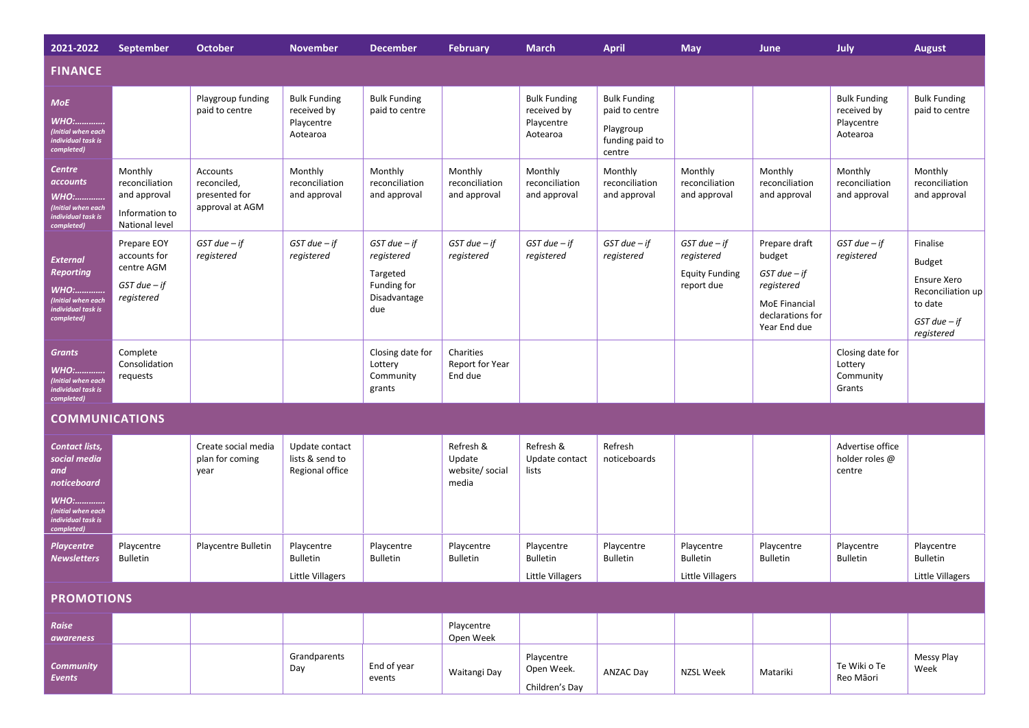| 2021-2022                                                                                                                     | <b>September</b>                                                              | October                                                     | <b>November</b>                                              | December                                                                         | <b>February</b>                                 | <b>March</b>                                                 | <b>April</b>                                                                    | <b>May</b>                                                            | June                                                                                                           | July                                                         | <b>August</b>                                                                                              |
|-------------------------------------------------------------------------------------------------------------------------------|-------------------------------------------------------------------------------|-------------------------------------------------------------|--------------------------------------------------------------|----------------------------------------------------------------------------------|-------------------------------------------------|--------------------------------------------------------------|---------------------------------------------------------------------------------|-----------------------------------------------------------------------|----------------------------------------------------------------------------------------------------------------|--------------------------------------------------------------|------------------------------------------------------------------------------------------------------------|
| <b>FINANCE</b>                                                                                                                |                                                                               |                                                             |                                                              |                                                                                  |                                                 |                                                              |                                                                                 |                                                                       |                                                                                                                |                                                              |                                                                                                            |
| <b>MoE</b><br><b>WHO:</b><br>(Initial when each<br>individual task is<br>completed)                                           |                                                                               | Playgroup funding<br>paid to centre                         | <b>Bulk Funding</b><br>received by<br>Playcentre<br>Aotearoa | <b>Bulk Funding</b><br>paid to centre                                            |                                                 | <b>Bulk Funding</b><br>received by<br>Playcentre<br>Aotearoa | <b>Bulk Funding</b><br>paid to centre<br>Playgroup<br>funding paid to<br>centre |                                                                       |                                                                                                                | <b>Bulk Funding</b><br>received by<br>Playcentre<br>Aotearoa | <b>Bulk Funding</b><br>paid to centre                                                                      |
| Centre<br>accounts<br><b>WHO:</b><br>(Initial when each<br>individual task is<br>completed)                                   | Monthly<br>reconciliation<br>and approval<br>Information to<br>National level | Accounts<br>reconciled,<br>presented for<br>approval at AGM | Monthly<br>reconciliation<br>and approval                    | Monthly<br>reconciliation<br>and approval                                        | Monthly<br>reconciliation<br>and approval       | Monthly<br>reconciliation<br>and approval                    | Monthly<br>reconciliation<br>and approval                                       | Monthly<br>reconciliation<br>and approval                             | Monthly<br>reconciliation<br>and approval                                                                      | Monthly<br>reconciliation<br>and approval                    | Monthly<br>reconciliation<br>and approval                                                                  |
| <b>External</b><br><b>Reporting</b><br><b>WHO:</b><br>(Initial when each<br>individual task is<br>completed)                  | Prepare EOY<br>accounts for<br>centre AGM<br>$GST$ due $-$ if<br>registered   | $GST$ due $-$ if<br>registered                              | $GST$ due $-$ if<br>registered                               | $GST$ due $-$ if<br>registered<br>Targeted<br>Funding for<br>Disadvantage<br>due | $GST$ due $-$ if<br>registered                  | $GST$ due $-$ if<br>registered                               | $GST$ due $-$ if<br>registered                                                  | $GST$ due $-$ if<br>registered<br><b>Equity Funding</b><br>report due | Prepare draft<br>budget<br>$GST$ due $-$ if<br>registered<br>MoE Financial<br>declarations for<br>Year End due | $GST$ due $-$ if<br>registered                               | Finalise<br><b>Budget</b><br>Ensure Xero<br>Reconciliation up<br>to date<br>$GST$ due $-$ if<br>registered |
| <b>Grants</b><br><u> WHO:</u><br>(Initial when each<br>individual task is<br>completed)                                       | Complete<br>Consolidation<br>requests                                         |                                                             |                                                              | Closing date for<br>Lottery<br>Community<br>grants                               | Charities<br>Report for Year<br>End due         |                                                              |                                                                                 |                                                                       |                                                                                                                | Closing date for<br>Lottery<br>Community<br>Grants           |                                                                                                            |
| <b>COMMUNICATIONS</b>                                                                                                         |                                                                               |                                                             |                                                              |                                                                                  |                                                 |                                                              |                                                                                 |                                                                       |                                                                                                                |                                                              |                                                                                                            |
| Contact lists,<br>social media<br>and<br>noticeboard<br><b>WHO:</b><br>(Initial when each<br>individual task is<br>completed) |                                                                               | Create social media<br>plan for coming<br>year              | Update contact<br>lists & send to<br>Regional office         |                                                                                  | Refresh &<br>Update<br>website/ social<br>media | Refresh &<br>Update contact<br>lists                         | Refresh<br>noticeboards                                                         |                                                                       |                                                                                                                | Advertise office<br>holder roles @<br>centre                 |                                                                                                            |
| <b>Playcentre</b><br><b>Newsletters</b>                                                                                       | Playcentre<br><b>Bulletin</b>                                                 | Playcentre Bulletin                                         | Playcentre<br><b>Bulletin</b><br>Little Villagers            | Playcentre<br><b>Bulletin</b>                                                    | Playcentre<br><b>Bulletin</b>                   | Playcentre<br><b>Bulletin</b><br>Little Villagers            | Playcentre<br><b>Bulletin</b>                                                   | Playcentre<br><b>Bulletin</b><br><b>Little Villagers</b>              | Playcentre<br><b>Bulletin</b>                                                                                  | Playcentre<br><b>Bulletin</b>                                | Playcentre<br><b>Bulletin</b><br>Little Villagers                                                          |
| <b>PROMOTIONS</b>                                                                                                             |                                                                               |                                                             |                                                              |                                                                                  |                                                 |                                                              |                                                                                 |                                                                       |                                                                                                                |                                                              |                                                                                                            |
| <b>Raise</b><br><i><b>awareness</b></i>                                                                                       |                                                                               |                                                             |                                                              |                                                                                  | Playcentre<br>Open Week                         |                                                              |                                                                                 |                                                                       |                                                                                                                |                                                              |                                                                                                            |
| <b>Community</b><br><b>Events</b>                                                                                             |                                                                               |                                                             | Grandparents<br>Day                                          | End of year<br>events                                                            | Waitangi Day                                    | Playcentre<br>Open Week.<br>Children's Day                   | <b>ANZAC Day</b>                                                                | NZSL Week                                                             | Matariki                                                                                                       | Te Wiki o Te<br>Reo Māori                                    | Messy Play<br>Week                                                                                         |